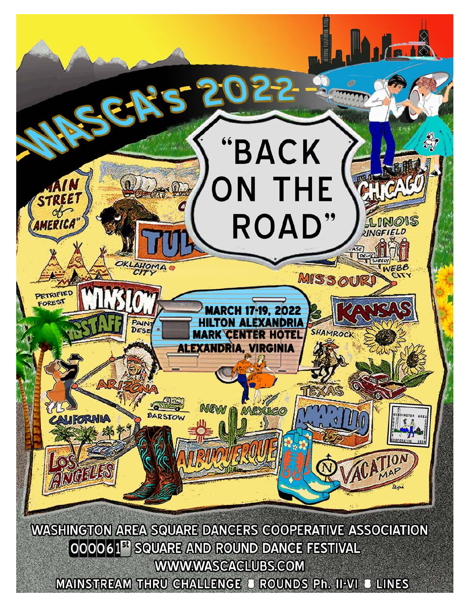

MAINSTREAM THRU CHALLENGE J ROUNDS Ph. II-VI J LINES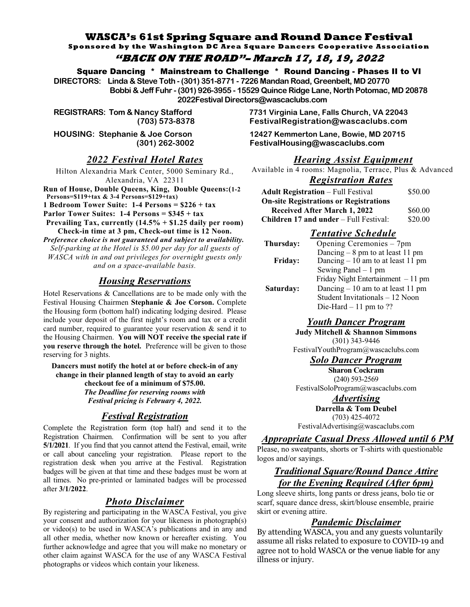#### **WASCA's 61st Spring Square and Round Dance Festival Sponsored by the Washington DC Area Square Dancers Cooperative Association "BACK ON THE ROAD"– March 17, 18, 19, 2022**

Square Dancing \* Mainstream to Challenge \* Round Dancing - Phases II to VI **DIRECTORS: Linda & Steve Toth - (301) 351-8771 - 7226 Mandan Road, Greenbelt, MD 20770 Bobbi & Jeff Fuhr - (301) 926-3955 - 15529 Quince Ridge Lane, North Potomac, MD 20878**

 **2022Festival Directors@wascaclubs.com** 

# **2022 Festival Hotel Rates**

Hilton Alexandria Mark Center, 5000 Seminary Rd., Alexandria, VA 22311

**Run of House, Double Queens, King, Double Queens: (1-2) Persons=\$119+tax & 3-4 Persons=\$129+tax) 1 Bedroom Tower Suite:**  $1-4$  **Persons =**  $$226 + tax$ **Parlor Tower Suites: 1-4 Persons**  $= $345 + tax$ Prevailing Tax, currently  $(14.5\% + $1.25$  daily per room) Check-in time at 3 pm, Check-out time is 12 Noon.

*Preference choice is not guaranteed and subject to availability. Self-parking at the Hotel is \$5.00 per day for all guests of WASCA with in and out privileges for overnight guests only*  $and$  on a space-available basis.

## *Housing Reservations*

Hotel Reservations  $&$  Cancellations are to be made only with the Festival Housing Chairmen Stephanie & Joe Corson. Complete the Housing form (bottom half) indicating lodging desired. Please include your deposit of the first night's room and tax or a credit card number, required to guarantee your reservation  $\&$  send it to the Housing Chairmen. You will NOT receive the special rate if **you reserve through the hotel.** Preference will be given to those reserving for 3 nights.

Dancers must notify the hotel at or before check-in of any change in their planned length of stay to avoid an early checkout fee of a minimum of \$75.00.

> *The Deadline for reserving rooms with Festival pricing is February 4, 2022.*

## *<i>Registration*

Complete the Registration form (top half) and send it to the Registration Chairmen. Confirmation will be sent to you after **5/1/2021**. If you find that you cannot attend the Festival, email, write or call about canceling your registration. Please report to the registration desk when you arrive at the Festival. Registration badges will be given at that time and these badges must be worn at all times. No pre-printed or laminated badges will be processed after 3/1/2022.

# **Photo Disclaimer**

By registering and participating in the WASCA Festival, you give your consent and authorization for your likeness in photograph(s) or video(s) to be used in WASCA's publications and in any and all other media, whether now known or hereafter existing. You further acknowledge and agree that you will make no monetary or other claim against WASCA for the use of any WASCA Festival photographs or videos which contain your likeness.

**REGISTRARS: Tom & Nancy Stafford 7731 Virginia Lane, Falls Church, VA 22043 (703) 573-8378 FestivalRegistration@wascaclubs.com** 

**HOUSING: Stephanie & Joe Corson 12427 Kemmerton Lane, Bowie, MD 20715 (301) 262-3002 FestivalHousing@wascaclubs.com** 

## *Hearing Assist Equipment*

Available in 4 rooms: Magnolia, Terrace, Plus & Advanced

#### $\boldsymbol{Reg}$  istration Rates

| <b>Adult Registration</b> – Full Festival     | \$50.00 |
|-----------------------------------------------|---------|
| <b>On-site Registrations or Registrations</b> |         |
| Received After March 1, 2022                  | \$60.00 |
| <b>Children 17 and under</b> – Full Festival: | \$20.00 |
|                                               |         |

## **Tentative Schedule**

| Thursday:      | Opening Ceremonies – 7pm            |
|----------------|-------------------------------------|
|                | Dancing $-8$ pm to at least 11 pm   |
| <b>Friday:</b> | Dancing $-10$ am to at least 11 pm  |
|                | Sewing Panel $-1$ pm                |
|                | Friday Night Entertainment $-11$ pm |
| Saturday:      | Dancing $-10$ am to at least 11 pm  |
|                | Student Invitationals - 12 Noon     |
|                | Die-Hard $-11$ pm to ??             |

#### $$

**Judy Mitchell & Shannon Simmons**  $(301)$  343-9446 FestivalYouthProgram@wascaclubs.com

#### **Solo Dancer Program**

**Sharon Cockram** (240) 593-2569 FestivalSoloProgram@wascaclubs.com

> $Advert is$ *ing* **Darrella & Tom Deubel**

 $(703)$  425-4072

FestivalAdvertising@wascaclubs.com

#### $A$ *ppropriate Casual Dress Allowed until 6 PM*

Please, no sweatpants, shorts or T-shirts with questionable logos and/or sayings.

# **Traditional Square/Round Dance Attire** *for the Evening Required (After 6pm)*

Long sleeve shirts, long pants or dress jeans, bolo tie or scarf, square dance dress, skirt/blouse ensemble, prairie skirt or evening attire.

#### *<u>Pandemic Disclaimer</u>*

By attending WASCA, you and any guests voluntarily assume all risks related to exposure to COVID-19 and agree not to hold WASCA or the venue liable for any illness or injury.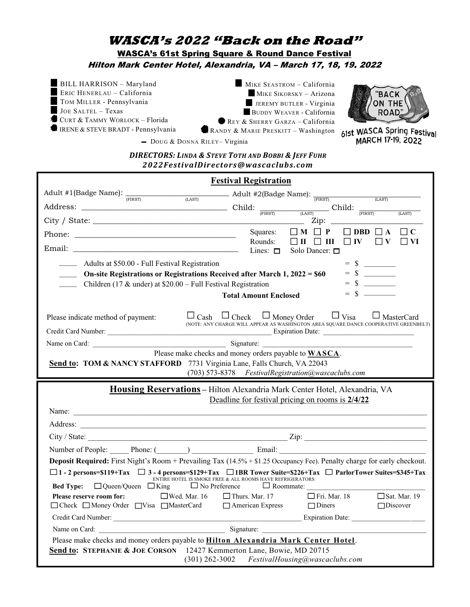# **WASCA's 2022 "Back on the Road" WASCA's 61st Spring Square & Round Dance Festival** Hilton Mark Center Hotel, Alexandria, VA - March 17, 18, 19. 2022

**BILL HARRISON - Maryland** ERIC HENERLAU - California TOM MILLER - Pennsylvania JOE SALTEL - Texas  $\blacksquare$  CURT & TAMMY WORLOCK – Florida **IRENE & STEVE BRADT - Pennsylvania** 

MIKE SEASTROM - California MIKE SIKORSKY - Arizona JEREMY BUTLER - Virginia BUDDY WEAVER - California REY & SHERRY GARZA - California



RANDY & MARIE PRESKITT - Washington 61st WASCA Spring Festival RILEY-Virginia

**DIRECTORS: LINDA & STEVE TOTH AND BOBBI & JEFF FUHR** 2022FestivalDirectors@wascaclubs.com

- DOUG & DONNA RILEY-Virginia

|                                                                                                                                                                                                                                                                                                                                                                     | <b>Festival Registration</b>                                                                                                                                                                                           |  |  |
|---------------------------------------------------------------------------------------------------------------------------------------------------------------------------------------------------------------------------------------------------------------------------------------------------------------------------------------------------------------------|------------------------------------------------------------------------------------------------------------------------------------------------------------------------------------------------------------------------|--|--|
| Adult #1(Badge Name): $\frac{1}{(FIRST)}$ (LAST) $\frac{1}{(LAST)}$ Adult #2(Badge Name): $\frac{1}{(FIRST)}$ (LAST)                                                                                                                                                                                                                                                |                                                                                                                                                                                                                        |  |  |
| Address: $\frac{P_{\text{IRIST}}}{P_{\text{IRST}}}$ Child: $\frac{P_{\text{IRST}}}{P_{\text{IRST}}}$ Child: $\frac{P_{\text{IRST}}}{P_{\text{IRST}}}$ Child: $\frac{P_{\text{IRST}}}{P_{\text{IRST}}}$                                                                                                                                                              | (LAST)                                                                                                                                                                                                                 |  |  |
| City / State:                                                                                                                                                                                                                                                                                                                                                       |                                                                                                                                                                                                                        |  |  |
|                                                                                                                                                                                                                                                                                                                                                                     | Squares:<br>$\Box$ M $\Box$ P<br>$\Box$ DBD $\Box$ A<br>$\Box$ C                                                                                                                                                       |  |  |
|                                                                                                                                                                                                                                                                                                                                                                     | Rounds:<br>$\Box$ V<br>$\Box$ III $\Box$ III<br>$\Box$ IV<br>VI<br>Lines: $\Box$<br>Solo Dancer: □                                                                                                                     |  |  |
| $= \  \, {\sf S} \  \  \, \underline{\hspace{1cm}}$<br>Adults at \$50.00 - Full Festival Registration<br>$= \quad \  \  \, {\mathbb S} \quad \underline{\hspace{1cm}}$<br>On-site Registrations or Registrations Received after March 1, 2022 = \$60<br>Children (17 & under) at $$20.00 - Full Festival Region$<br>$=$ \$ $\qquad$<br><b>Total Amount Enclosed</b> |                                                                                                                                                                                                                        |  |  |
| Please indicate method of payment:                                                                                                                                                                                                                                                                                                                                  | $\square_{\text{Cash}}\ \square_{\text{Check}}\ \square_{\text{Money Order}}\ \square_{\text{Visa}}\ \square_{\text{MasterCard}}$ (NOTE: ANY CHARGE WILL APPEAR AS WASHINGTON AREA SQUARE DANCE COOPERATIVE GREENBELT) |  |  |
|                                                                                                                                                                                                                                                                                                                                                                     |                                                                                                                                                                                                                        |  |  |
| Please make checks and money orders payable to <b>WASCA</b> .<br>Send to: TOM & NANCY STAFFORD 7731 Virginia Lane, Falls Church, VA 22043<br>(703) 573-8378 FestivalRegistration@wascaclubs.com<br>Housing Reservations - Hilton Alexandria Mark Center Hotel, Alexandria, VA                                                                                       |                                                                                                                                                                                                                        |  |  |
|                                                                                                                                                                                                                                                                                                                                                                     | Deadline for festival pricing on rooms is 2/4/22<br>Name:                                                                                                                                                              |  |  |
|                                                                                                                                                                                                                                                                                                                                                                     |                                                                                                                                                                                                                        |  |  |
|                                                                                                                                                                                                                                                                                                                                                                     |                                                                                                                                                                                                                        |  |  |
|                                                                                                                                                                                                                                                                                                                                                                     | Number of People: Phone: (Chapter and Email: Email: Email:                                                                                                                                                             |  |  |
|                                                                                                                                                                                                                                                                                                                                                                     | Deposit Required: First Night's Room + Prevailing Tax (14.5% + \$1.25 Occupancy Fee). Penalty charge for early checkout.                                                                                               |  |  |
| $\Box$ 1 - 2 persons=\$119+Tax $\Box$ 3 - 4 persons=\$129+Tax $\Box$ 1BR Tower Suite=\$226+Tax $\Box$ ParlorTower Suites=\$345+Tax<br>ENTIRE HOTEL IS SMOKE FREE & ALL ROOMS HAVE REFRIGERATORS<br>$\Box$ Queen/Queen $\Box$ King $\Box$ No Preference $\Box$ Roommate:<br><b>Bed Type:</b>                                                                         |                                                                                                                                                                                                                        |  |  |
| Please reserve room for:<br>□ Check □ Money Order □ Visa □ MasterCard □ American Express □ Diners                                                                                                                                                                                                                                                                   | $\Box$ Fri. Mar. 18 $\Box$ Sat. Mar. 19<br>$\Box$ Wed. Mar. 16 $\Box$ Thurs. Mar. 17<br>$\Box$ Discover                                                                                                                |  |  |
|                                                                                                                                                                                                                                                                                                                                                                     |                                                                                                                                                                                                                        |  |  |
|                                                                                                                                                                                                                                                                                                                                                                     |                                                                                                                                                                                                                        |  |  |
| Please make checks and money orders payable to <b>Hilton Alexandria Mark Center Hotel</b> .<br>Send to: STEPHANIE & JOE CORSON 12427 Kemmerton Lane, Bowie, MD 20715<br>(301) 262-3002 FestivalHousing@wascaclubs.com                                                                                                                                               |                                                                                                                                                                                                                        |  |  |